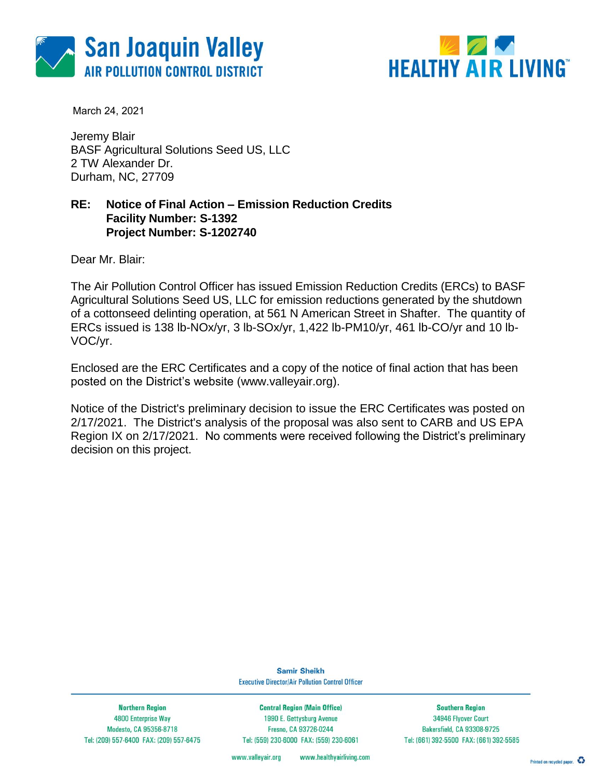



March 24, 2021

Jeremy Blair BASF Agricultural Solutions Seed US, LLC 2 TW Alexander Dr. Durham, NC, 27709

#### **RE: Notice of Final Action – Emission Reduction Credits Facility Number: S-1392 Project Number: S-1202740**

Dear Mr. Blair:

The Air Pollution Control Officer has issued Emission Reduction Credits (ERCs) to BASF Agricultural Solutions Seed US, LLC for emission reductions generated by the shutdown of a cottonseed delinting operation, at 561 N American Street in Shafter. The quantity of ERCs issued is 138 lb-NOx/yr, 3 lb-SOx/yr, 1,422 lb-PM10/yr, 461 lb-CO/yr and 10 lb-VOC/yr.

Enclosed are the ERC Certificates and a copy of the notice of final action that has been posted on the District's website (www.valleyair.org).

Notice of the District's preliminary decision to issue the ERC Certificates was posted on 2/17/2021. The District's analysis of the proposal was also sent to CARB and US EPA Region IX on 2/17/2021. No comments were received following the District's preliminary decision on this project.

> **Samir Sheikh Executive Director/Air Pollution Control Officer**

**Northern Region** 4800 Enterprise Way Modesto, CA 95356-8718 Tel: (209) 557-6400 FAX: (209) 557-6475

**Central Region (Main Office)** 1990 E. Gettysburg Avenue Fresno, CA 93726-0244 Tel: (559) 230-6000 FAX: (559) 230-6061

**Southern Region** 34946 Flyover Court Bakersfield, CA 93308-9725 Tel: (661) 392-5500 FAX: (661) 392-5585

www.healthyairliving.com www.valleyair.org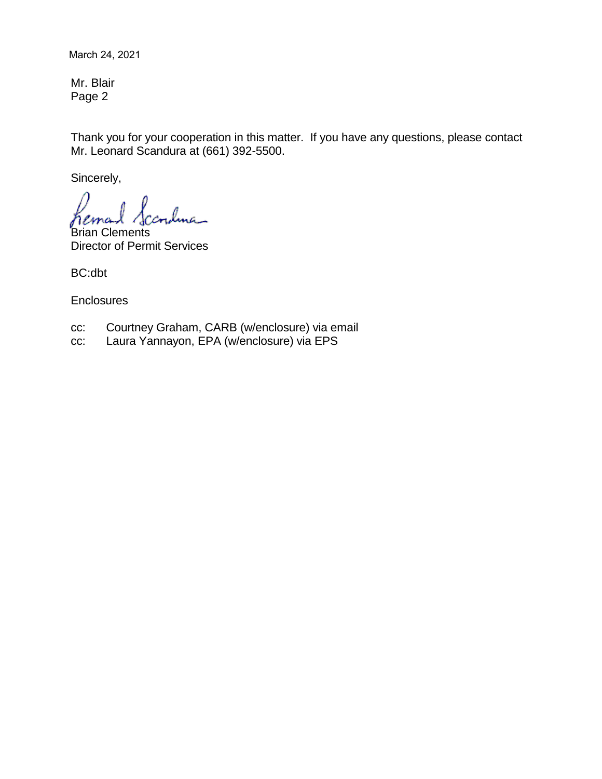March 24, 2021

Mr. Blair Page 2

Thank you for your cooperation in this matter. If you have any questions, please contact Mr. Leonard Scandura at (661) 392-5500.

Sincerely,

lma\_

Brian Clements Director of Permit Services

BC:dbt

**Enclosures** 

- cc: Courtney Graham, CARB (w/enclosure) via email
- cc: Laura Yannayon, EPA (w/enclosure) via EPS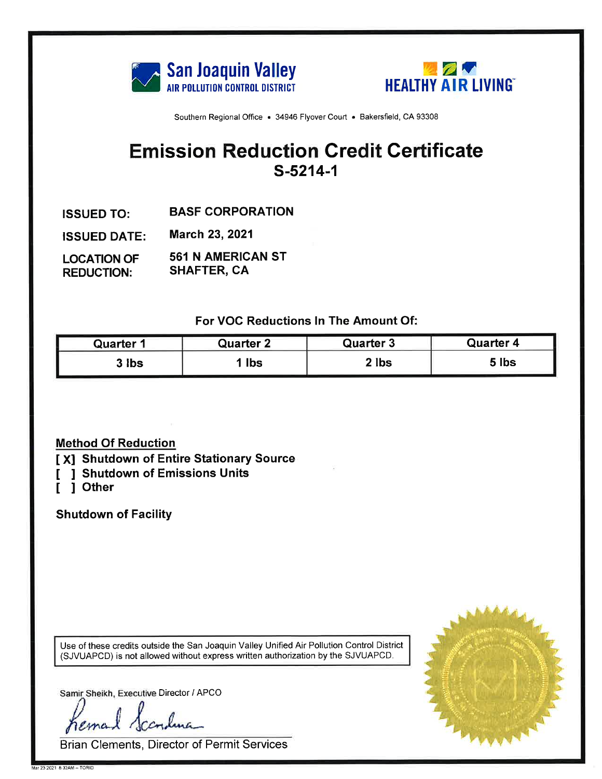



# **Emission Reduction Credit Certificate** S-5214-1

- **BASF CORPORATION ISSUED TO:**
- March 23, 2021 **ISSUED DATE:**
- **561 N AMERICAN ST LOCATION OF SHAFTER, CA REDUCTION:**

For VOC Reductions In The Amount Of:

| Quarter ' | Quarter 2 | <b>Quarter 3</b> | <b>Quarter 4</b> |
|-----------|-----------|------------------|------------------|
| 3 Ibs     | lbs       | $2$ lbs          | 5 lbs            |

### **Method Of Reduction**

### [X] Shutdown of Entire Stationary Source

- **J Shutdown of Emissions Units** L
- 1 Other ſ

**Shutdown of Facility** 

Use of these credits outside the San Joaquin Valley Unified Air Pollution Control District (SJVUAPCD) is not allowed without express written authorization by the SJVUAPCD.

Samir Sheikh, Executive Director / APCO

ema

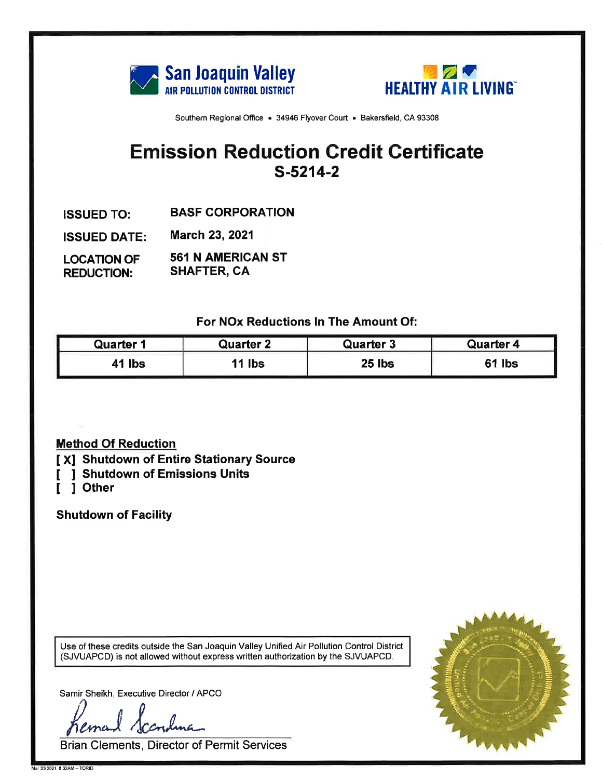



# **Emission Reduction Credit Certificate**  $S-5214-2$

- **BASF CORPORATION ISSUED TO:**
- **March 23, 2021 ISSUED DATE:**
- **561 N AMERICAN ST LOCATION OF SHAFTER, CA REDUCTION:**

For NOx Reductions In The Amount Of:

| Quarter    | <b>Quarter 2</b> | <b>Quarter 3</b> | <b>Quarter 4</b> |
|------------|------------------|------------------|------------------|
| <b>lbs</b> | <b>Ibs</b>       | 25 lbs           | <b>lbs</b>       |

### **Method Of Reduction**

- [X] Shutdown of Entire Stationary Source
- [ ] Shutdown of Emissions Units
- 1 Other  $\mathbf{I}$

**Shutdown of Facility** 

Use of these credits outside the San Joaquin Valley Unified Air Pollution Control District (SJVUAPCD) is not allowed without express written authorization by the SJVUAPCD.

Samir Sheikh, Executive Director / APCO

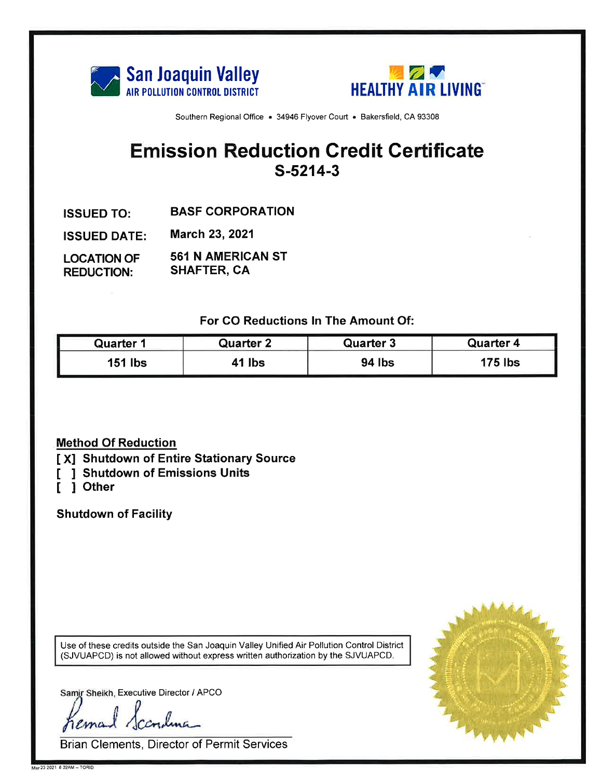



# **Emission Reduction Credit Certificate**  $S-5214-3$

- **BASF CORPORATION ISSUED TO:**
- March 23, 2021 **ISSUED DATE:**
- **561 N AMERICAN ST LOCATION OF SHAFTER, CA REDUCTION:**

For CO Reductions In The Amount Of:

| <b>Quarter 1</b> | Quarter 2 | <b>Quarter 3</b> | Quarter 4      |
|------------------|-----------|------------------|----------------|
| lbs<br>151       | 41 lbs    | 94 lbs           | <b>175 lbs</b> |

### **Method Of Reduction**

- [X] Shutdown of Entire Stationary Source
- [ ] Shutdown of Emissions Units
- [ ] Other

**Shutdown of Facility** 

Use of these credits outside the San Joaquin Valley Unified Air Pollution Control District (SJVUAPCD) is not allowed without express written authorization by the SJVUAPCD.

Samir Sheikh, Executive Director / APCO

rema

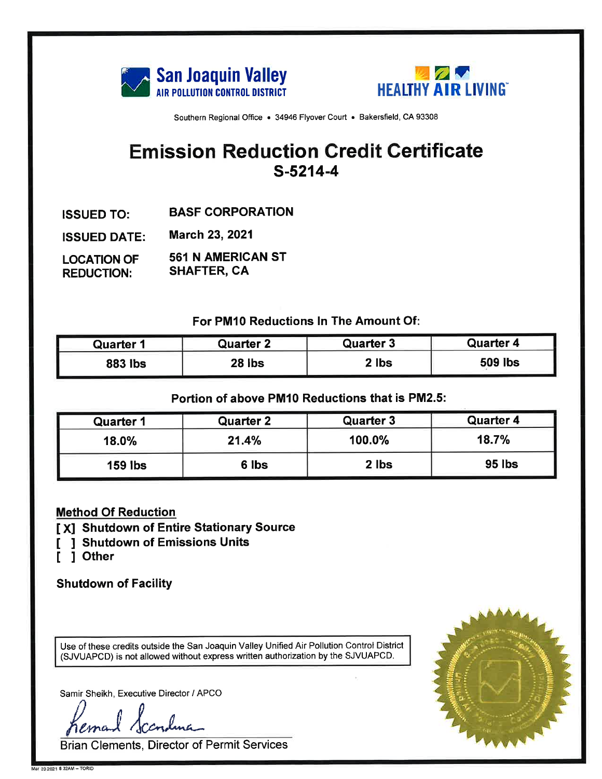



# **Emission Reduction Credit Certificate**  $S-5214-4$

- **BASF CORPORATION ISSUED TO:**
- **March 23, 2021 ISSUED DATE:**
- **561 N AMERICAN ST LOCATION OF SHAFTER, CA REDUCTION:**

For PM10 Reductions In The Amount Of:

| Quarter        | Quarter 2 | <b>Quarter 3</b> | Quarter 4      |
|----------------|-----------|------------------|----------------|
| <b>883 lbs</b> | 28 lbs    | ? lbs            | <b>509 lbs</b> |

### Portion of above PM10 Reductions that is PM2.5:

| <b>Quarter 1</b> | <b>Quarter 2</b> | <b>Quarter 3</b> | <b>Quarter 4</b> |
|------------------|------------------|------------------|------------------|
| 18.0%            | 21.4%            | 100.0%           | 18.7%            |
| <b>159 lbs</b>   | 6 lbs            | 2 lbs            | 95 lbs           |

### **Method Of Reduction**

- [X] Shutdown of Entire Stationary Source
- **J Shutdown of Emissions Units**
- [ ] Other

**Shutdown of Facility** 

Use of these credits outside the San Joaquin Valley Unified Air Pollution Control District (SJVUAPCD) is not allowed without express written authorization by the SJVUAPCD.

Samir Sheikh, Executive Director / APCO